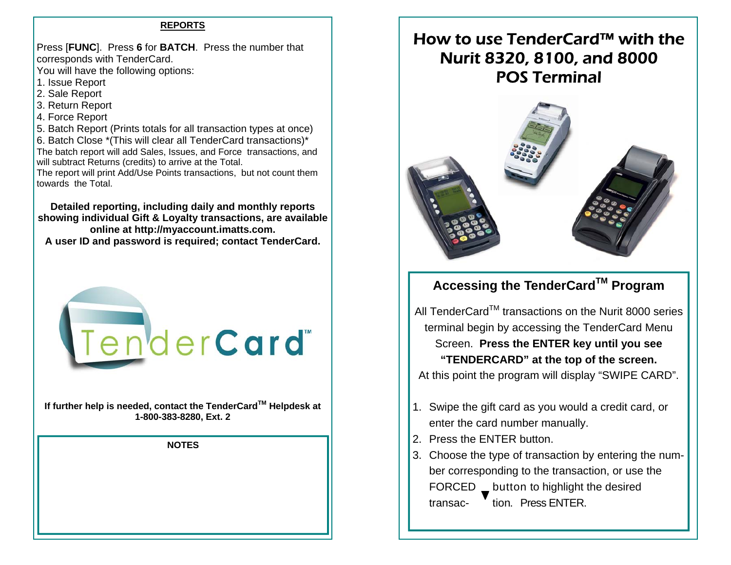#### **REPORTS**

Press [**FUNC**]. Press **6** for **BATCH**. Press the number that corresponds with TenderCard.

You will have the following options:

- 1. Issue Report
- 2. Sale Report
- 3. Return Report
- 4. Force Report

5. Batch Report (Prints totals for all transaction types at once) 6. Batch Close \*(This will clear all TenderCard transactions)\* The batch report will add Sales, Issues, and Force transactions, and will subtract Returns (credits) to arrive at the Total.

The report will print Add/Use Points transactions, but not count them towards the Total.

**Detailed reporting, including daily and monthly reports showing individual Gift & Loyalty transactions, are available online at http://myaccount.imatts.com.** 

**A user ID and password is required; contact TenderCard.** 



**If further help is needed, contact the TenderCardTM Helpdesk at 1-800-383-8280, Ext. 2** 

**NOTES** 

# How to use TenderCard™ with the Nurit 8320, 8100, and 8000 POS Terminal



## **Accessing the TenderCardTM Program**

All TenderCard<sup>TM</sup> transactions on the Nurit 8000 series terminal begin by accessing the TenderCard Menu Screen. **Press the ENTER key until you see "TENDERCARD" at the top of the screen.**  At this point the program will display "SWIPE CARD".

- 1. Swipe the gift card as you would a credit card, or enter the card number manually.
- 2. Press the ENTER button.
- 3. Choose the type of transaction by entering the number corresponding to the transaction, or use the FORCED \_ button to highlight the desired

transac- <sup>t</sup>tion. Press ENTER.